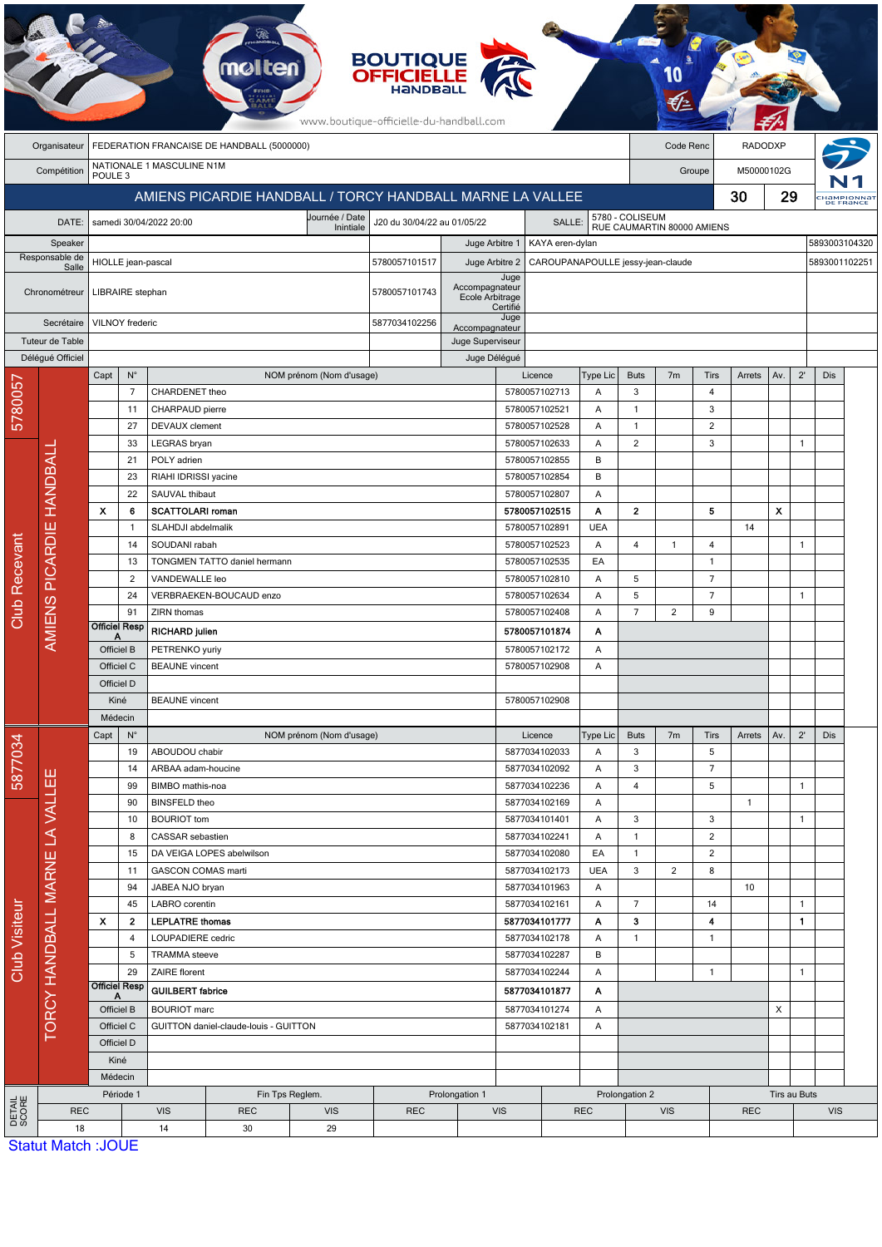| <b>BOUTIQUE<br/>OFFICIELLE</b><br>mo<br>www.boutique-officielle-du-handball.com |                                |                                                           |                                                                                          |                                                                          |                              |                                |                        |                                          |               |                                                                  |                                                    |                     |                |                            |              |     |              |               |                        |  |
|---------------------------------------------------------------------------------|--------------------------------|-----------------------------------------------------------|------------------------------------------------------------------------------------------|--------------------------------------------------------------------------|------------------------------|--------------------------------|------------------------|------------------------------------------|---------------|------------------------------------------------------------------|----------------------------------------------------|---------------------|----------------|----------------------------|--------------|-----|--------------|---------------|------------------------|--|
|                                                                                 | Organisateur                   | FEDERATION FRANCAISE DE HANDBALL (5000000)                |                                                                                          |                                                                          |                              |                                |                        |                                          |               |                                                                  | Code Renc<br><b>RADODXP</b>                        |                     |                |                            |              |     |              |               |                        |  |
|                                                                                 | Compétition                    | POULE <sub>3</sub>                                        |                                                                                          | NATIONALE 1 MASCULINE N1M                                                |                              |                                |                        |                                          |               |                                                                  |                                                    |                     |                | Groupe                     | M50000102G   |     |              |               |                        |  |
|                                                                                 |                                | AMIENS PICARDIE HANDBALL / TORCY HANDBALL MARNE LA VALLEE |                                                                                          |                                                                          |                              |                                |                        |                                          |               |                                                                  |                                                    | 30                  |                |                            |              | 29  |              |               | HAMPIONNA<br>DE FRANCE |  |
|                                                                                 | DATE:                          |                                                           |                                                                                          | Journée / Date<br>J20 du 30/04/22 au 01/05/22<br>samedi 30/04/2022 20:00 |                              |                                |                        |                                          |               | SALLE:                                                           |                                                    |                     |                |                            |              |     |              |               |                        |  |
| Speaker<br>Responsable de                                                       |                                |                                                           |                                                                                          |                                                                          |                              | Inintiale                      |                        | Juge Arbitre 1                           |               | 5780 - COLISEUM<br>RUE CAUMARTIN 80000 AMIENS<br>KAYA eren-dylan |                                                    |                     |                |                            |              |     |              | 5893003104320 |                        |  |
|                                                                                 |                                | HIOLLE jean-pascal                                        |                                                                                          |                                                                          |                              |                                | 5780057101517          | Juge Arbitre 2                           |               |                                                                  | CAROUPANAPOULLE jessy-jean-claude<br>5893001102251 |                     |                |                            |              |     |              |               |                        |  |
|                                                                                 | Salle                          |                                                           |                                                                                          |                                                                          |                              |                                | Juge<br>Accompagnateur |                                          |               |                                                                  |                                                    |                     |                |                            |              |     |              |               |                        |  |
|                                                                                 | Chronométreur                  | LIBRAIRE stephan                                          |                                                                                          |                                                                          |                              |                                | 5780057101743          | Ecole Arbitrage                          | Certifié      |                                                                  |                                                    |                     |                |                            |              |     |              |               |                        |  |
|                                                                                 | Secrétaire                     |                                                           | VILNOY frederic                                                                          |                                                                          |                              |                                | 5877034102256          | Accompagnateur                           | Juge          |                                                                  |                                                    |                     |                |                            |              |     |              |               |                        |  |
| Tuteur de Table                                                                 |                                |                                                           |                                                                                          |                                                                          |                              |                                | Juge Superviseur       |                                          |               |                                                                  |                                                    |                     |                |                            |              |     |              |               |                        |  |
|                                                                                 | Délégué Officiel               |                                                           |                                                                                          |                                                                          |                              |                                |                        | Juge Délégué                             |               |                                                                  |                                                    |                     |                |                            |              |     |              |               |                        |  |
|                                                                                 |                                | Capt                                                      | $N^{\circ}$                                                                              |                                                                          |                              | NOM prénom (Nom d'usage)       |                        |                                          |               | Licence                                                          | <b>Type Lic</b>                                    | <b>Buts</b>         | 7 <sub>m</sub> | Tirs                       | Arrets       | Av. | $2^{\prime}$ | Dis           |                        |  |
| 5780057                                                                         |                                |                                                           | $\overline{7}$<br>11                                                                     | CHARDENET theo<br>CHARPAUD pierre                                        |                              |                                |                        |                                          |               | 5780057102713<br>5780057102521                                   | A<br>A                                             | 3<br>$\mathbf{1}$   |                | $\overline{4}$<br>3        |              |     |              |               |                        |  |
|                                                                                 |                                |                                                           | 27                                                                                       | DEVAUX clement                                                           |                              |                                |                        |                                          |               | 5780057102528                                                    | Α                                                  | $\mathbf{1}$        |                | $\overline{2}$             |              |     |              |               |                        |  |
|                                                                                 |                                |                                                           | 33                                                                                       | LEGRAS bryan                                                             |                              |                                |                        |                                          |               | 5780057102633                                                    | Α                                                  | $\overline{2}$      |                | 3                          |              |     | $\mathbf{1}$ |               |                        |  |
|                                                                                 |                                |                                                           | 21                                                                                       | POLY adrien                                                              |                              |                                |                        |                                          |               | 5780057102855                                                    | B                                                  |                     |                |                            |              |     |              |               |                        |  |
|                                                                                 |                                |                                                           | 23                                                                                       | RIAHI IDRISSI yacine                                                     |                              |                                |                        |                                          |               | 5780057102854                                                    | B                                                  |                     |                |                            |              |     |              |               |                        |  |
|                                                                                 | <b>HANDBALI</b>                |                                                           | 22                                                                                       | SAUVAL thibaut                                                           |                              |                                |                        |                                          |               | 5780057102807                                                    | Α                                                  |                     |                |                            |              |     |              |               |                        |  |
|                                                                                 |                                | X                                                         | 6                                                                                        | <b>SCATTOLARI roman</b><br>SLAHDJI abdelmalik                            |                              |                                |                        |                                          |               | 5780057102515                                                    | A<br><b>UEA</b>                                    | $\mathbf 2$         |                | 5                          |              | x   |              |               |                        |  |
|                                                                                 | <b>AMIENS PICARDIE</b>         |                                                           | -1<br>14                                                                                 | SOUDANI rabah                                                            |                              |                                |                        |                                          |               | 5780057102891<br>5780057102523                                   | A                                                  | 4                   | $\mathbf{1}$   | $\overline{4}$             | 14           |     | $\mathbf{1}$ |               |                        |  |
|                                                                                 |                                |                                                           | 13                                                                                       |                                                                          | TONGMEN TATTO daniel hermann |                                |                        |                                          |               | 5780057102535                                                    | EA                                                 |                     |                | $\mathbf{1}$               |              |     |              |               |                        |  |
| Recevant                                                                        |                                |                                                           | $\overline{c}$                                                                           | VANDEWALLE leo                                                           |                              |                                |                        |                                          |               | 5780057102810                                                    | A                                                  | 5                   |                | $\overline{7}$             |              |     |              |               |                        |  |
|                                                                                 |                                |                                                           | 24                                                                                       |                                                                          | VERBRAEKEN-BOUCAUD enzo      |                                |                        |                                          |               | 5780057102634                                                    | A                                                  | 5                   |                | $\overline{7}$             |              |     | $\mathbf{1}$ |               |                        |  |
| Club                                                                            |                                |                                                           | 91<br><b>Officiel Resp</b>                                                               | ZIRN thomas                                                              |                              |                                |                        |                                          |               | 5780057102408                                                    | A                                                  | $\overline{7}$      | $\overline{2}$ | 9                          |              |     |              |               |                        |  |
|                                                                                 |                                |                                                           |                                                                                          | <b>RICHARD julien</b>                                                    |                              |                                |                        | 5780057101874<br>A                       |               |                                                                  |                                                    |                     |                |                            |              |     |              |               |                        |  |
|                                                                                 |                                |                                                           | Officiel B                                                                               | PETRENKO yuriy<br><b>BEAUNE</b> vincent                                  |                              |                                |                        | 5780057102172<br>Α<br>5780057102908<br>Α |               |                                                                  |                                                    |                     |                |                            |              |     |              |               |                        |  |
|                                                                                 |                                | Officiel C<br>Officiel D                                  |                                                                                          |                                                                          |                              |                                |                        |                                          |               |                                                                  |                                                    |                     |                |                            |              |     |              |               |                        |  |
|                                                                                 |                                | Kiné                                                      |                                                                                          | <b>BEAUNE</b> vincent                                                    |                              |                                |                        |                                          | 5780057102908 |                                                                  |                                                    |                     |                |                            |              |     |              |               |                        |  |
|                                                                                 |                                | Médecin                                                   |                                                                                          |                                                                          |                              |                                |                        |                                          |               |                                                                  |                                                    |                     |                |                            |              |     |              |               |                        |  |
|                                                                                 |                                | Capt                                                      | $N^{\circ}$                                                                              |                                                                          |                              | NOM prénom (Nom d'usage)       |                        |                                          |               | Licence                                                          | Type Lic                                           | <b>Buts</b>         | 7 <sub>m</sub> | Tirs                       | Arrets       | Av. | $2^{\prime}$ | Dis           |                        |  |
| 5877034                                                                         |                                |                                                           | 19<br>14                                                                                 | ABOUDOU chabir<br>ARBAA adam-houcine                                     |                              |                                |                        |                                          |               | 5877034102033<br>5877034102092                                   | Α<br>Α                                             | 3<br>3              |                | 5<br>$\overline{7}$        |              |     |              |               |                        |  |
|                                                                                 |                                |                                                           | 99                                                                                       | BIMBO mathis-noa                                                         |                              |                                |                        |                                          |               | 5877034102236                                                    | A                                                  | 4                   |                | 5                          |              |     | $\mathbf{1}$ |               |                        |  |
|                                                                                 |                                |                                                           | 90                                                                                       | <b>BINSFELD theo</b>                                                     |                              |                                |                        |                                          |               | 5877034102169                                                    | Α                                                  |                     |                |                            | $\mathbf{1}$ |     |              |               |                        |  |
|                                                                                 |                                |                                                           | 10                                                                                       | <b>BOURIOT</b> tom                                                       |                              |                                |                        |                                          |               | 5877034101401                                                    | Α                                                  | 3                   |                | 3                          |              |     | $\mathbf{1}$ |               |                        |  |
|                                                                                 |                                |                                                           | 8                                                                                        | CASSAR sebastien                                                         |                              |                                |                        |                                          |               | 5877034102241                                                    | A                                                  | $\overline{1}$      |                | $\overline{2}$             |              |     |              |               |                        |  |
|                                                                                 |                                | 15                                                        |                                                                                          |                                                                          | DA VEIGA LOPES abelwilson    |                                |                        |                                          |               | 5877034102080                                                    | EA<br><b>UEA</b>                                   | $\overline{1}$<br>3 | $\overline{2}$ | $\overline{2}$<br>8        |              |     |              |               |                        |  |
|                                                                                 | TORCY HANDBALL MARNE LA VALLEE |                                                           | <b>GASCON COMAS marti</b><br>11<br>94<br>JABEA NJO bryan                                 |                                                                          |                              | 5877034102173<br>5877034101963 |                        | Α                                        |               |                                                                  |                                                    | 10                  |                |                            |              |     |              |               |                        |  |
|                                                                                 |                                |                                                           | 45                                                                                       | LABRO corentin                                                           |                              |                                |                        |                                          |               | 5877034102161                                                    | Α                                                  | $\overline{7}$      |                | 14                         |              |     | $\mathbf{1}$ |               |                        |  |
| Club Visiteur                                                                   |                                | x                                                         | 2                                                                                        | <b>LEPLATRE</b> thomas                                                   |                              |                                |                        |                                          |               | 5877034101777                                                    | Α                                                  | 3                   |                | 4                          |              |     | 1            |               |                        |  |
|                                                                                 |                                |                                                           | 4                                                                                        | LOUPADIERE cedric                                                        |                              |                                |                        |                                          |               | 5877034102178                                                    | Α                                                  | $\mathbf{1}$        |                | $\mathbf{1}$               |              |     |              |               |                        |  |
|                                                                                 |                                |                                                           | 5                                                                                        | <b>TRAMMA</b> steeve                                                     |                              |                                |                        |                                          |               | 5877034102287                                                    | B                                                  |                     |                |                            |              |     |              |               |                        |  |
|                                                                                 |                                |                                                           | 29<br><b>Officiel Resp</b>                                                               | ZAIRE florent                                                            |                              |                                |                        | 5877034102244                            |               | A                                                                | $\mathbf{1}$                                       |                     |                |                            |              | 1   |              |               |                        |  |
|                                                                                 |                                |                                                           | А                                                                                        | <b>GUILBERT</b> fabrice                                                  |                              |                                |                        | 5877034101877<br>Α<br>Α                  |               |                                                                  |                                                    |                     |                |                            | X            |     |              |               |                        |  |
|                                                                                 |                                |                                                           | <b>BOURIOT</b> marc<br>Officiel B<br>Officiel C<br>GUITTON daniel-claude-louis - GUITTON |                                                                          |                              |                                |                        | 5877034101274<br>5877034102181           |               | Α                                                                |                                                    |                     |                |                            |              |     |              |               |                        |  |
|                                                                                 |                                |                                                           | Officiel D                                                                               |                                                                          |                              |                                |                        |                                          |               |                                                                  |                                                    |                     |                |                            |              |     |              |               |                        |  |
|                                                                                 |                                |                                                           | Kiné                                                                                     |                                                                          |                              |                                |                        |                                          |               |                                                                  |                                                    |                     |                |                            |              |     |              |               |                        |  |
| DETAIL<br>SCORE                                                                 |                                |                                                           | Médecin                                                                                  |                                                                          |                              |                                |                        |                                          |               |                                                                  |                                                    |                     |                |                            |              |     |              |               |                        |  |
|                                                                                 |                                | Période 1                                                 |                                                                                          | Fin Tps Reglem.<br>Prolongation 1                                        |                              |                                |                        | <b>REC</b>                               |               |                                                                  | Prolongation 2                                     |                     |                | Tirs au Buts<br><b>VIS</b> |              |     |              |               |                        |  |
|                                                                                 | <b>REC</b><br>18               | $Q_{\text{fath}}$ Motch $\cdot$ IOLIE                     |                                                                                          | <b>VIS</b><br>14                                                         | <b>REC</b><br>30             | <b>VIS</b><br>29               | <b>REC</b>             |                                          | <b>VIS</b>    |                                                                  | <b>VIS</b>                                         |                     |                | <b>REC</b>                 |              |     |              |               |                        |  |
|                                                                                 |                                |                                                           |                                                                                          |                                                                          |                              |                                |                        |                                          |               |                                                                  |                                                    |                     |                |                            |              |     |              |               |                        |  |

**Statut Match: JOUE**